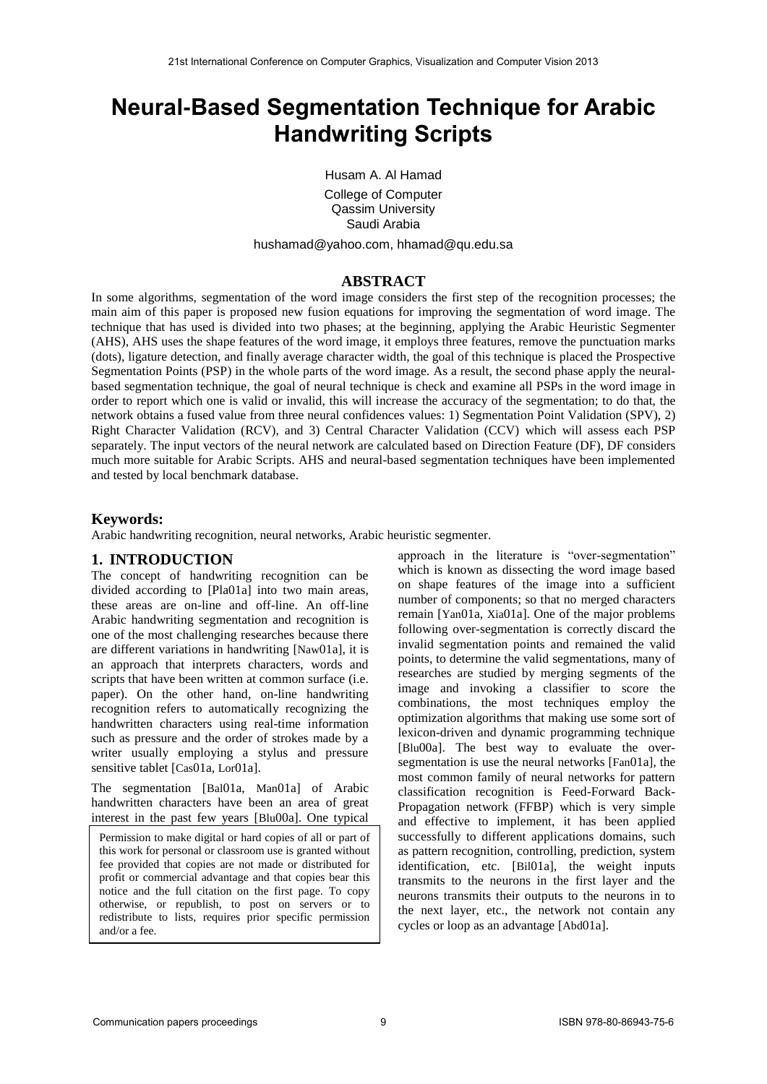# **Neural-Based Segmentation Technique for Arabic Handwriting Scripts**

Husam A. Al Hamad

College of Computer Qassim University Saudi Arabia

hushamad@yahoo.com, [hhamad@qu.edu.sa](mailto:hhamad@qu.edu.sa)

#### **ABSTRACT**

In some algorithms, segmentation of the word image considers the first step of the recognition processes; the main aim of this paper is proposed new fusion equations for improving the segmentation of word image. The technique that has used is divided into two phases; at the beginning, applying the Arabic Heuristic Segmenter (AHS), AHS uses the shape features of the word image, it employs three features, remove the punctuation marks (dots), ligature detection, and finally average character width, the goal of this technique is placed the Prospective Segmentation Points (PSP) in the whole parts of the word image. As a result, the second phase apply the neuralbased segmentation technique, the goal of neural technique is check and examine all PSPs in the word image in order to report which one is valid or invalid, this will increase the accuracy of the segmentation; to do that, the network obtains a fused value from three neural confidences values: 1) Segmentation Point Validation (SPV), 2) Right Character Validation (RCV), and 3) Central Character Validation (CCV) which will assess each PSP separately. The input vectors of the neural network are calculated based on Direction Feature (DF), DF considers much more suitable for Arabic Scripts. AHS and neural-based segmentation techniques have been implemented and tested by local benchmark database.

#### **Keywords:**

Arabic handwriting recognition, neural networks, Arabic heuristic segmenter.

#### **1. INTRODUCTION**

The concept of handwriting recognition can be divided according to [Pla01a] into two main areas, these areas are on-line and off-line. An off-line Arabic handwriting segmentation and recognition is one of the most challenging researches because there are different variations in handwriting [Naw01a], it is an approach that interprets characters, words and scripts that have been written at common surface (i.e. paper). On the other hand, on-line handwriting recognition refers to automatically recognizing the handwritten characters using real-time information such as pressure and the order of strokes made by a writer usually employing a stylus and pressure sensitive tablet [Cas01a, Lor01a].

The segmentation [Bal01a, Man01a] of Arabic handwritten characters have been an area of great interest in the past few years [Blu00a]. One typical

Permission to make digital or hard copies of all or part of this work for personal or classroom use is granted without fee provided that copies are not made or distributed for profit or commercial advantage and that copies bear this notice and the full citation on the first page. To copy otherwise, or republish, to post on servers or to redistribute to lists, requires prior specific permission and/or a fee.

approach in the literature is "over-segmentation" which is known as dissecting the word image based on shape features of the image into a sufficient number of components; so that no merged characters remain [Yan01a, Xia01a]. One of the major problems following over-segmentation is correctly discard the invalid segmentation points and remained the valid points, to determine the valid segmentations, many of researches are studied by merging segments of the image and invoking a classifier to score the combinations, the most techniques employ the optimization algorithms that making use some sort of lexicon-driven and dynamic programming technique [Blu00a]. The best way to evaluate the oversegmentation is use the neural networks [Fan01a], the most common family of neural networks for pattern classification recognition is Feed-Forward Back-Propagation network (FFBP) which is very simple and effective to implement, it has been applied successfully to different applications domains, such as pattern recognition, controlling, prediction, system identification, etc. [Bil01a], the weight inputs transmits to the neurons in the first layer and the neurons transmits their outputs to the neurons in to the next layer, etc., the network not contain any cycles or loop as an advantage [Abd01a].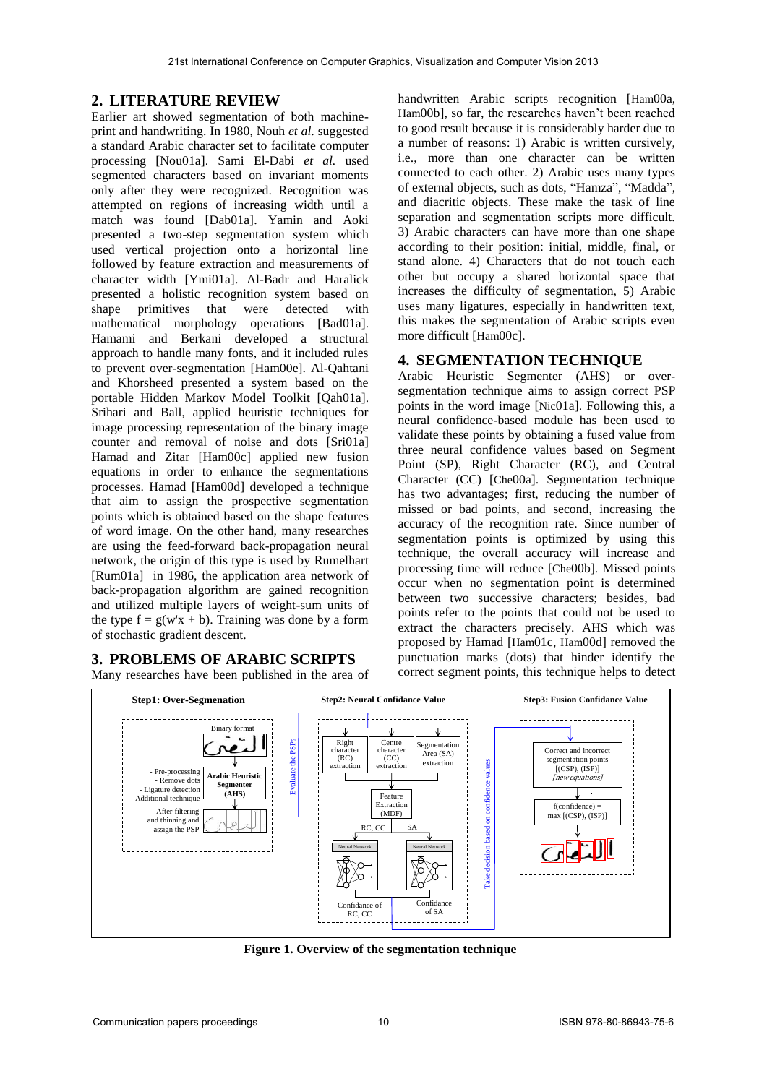# **2. LITERATURE REVIEW**

Earlier art showed segmentation of both machineprint and handwriting. In 1980, Nouh *et al*. suggested a standard Arabic character set to facilitate computer processing [Nou01a]. Sami El-Dabi *et al.* used segmented characters based on invariant moments only after they were recognized. Recognition was attempted on regions of increasing width until a match was found [Dab01a]. Yamin and Aoki presented a two-step segmentation system which used vertical projection onto a horizontal line followed by feature extraction and measurements of character width [Ymi01a]. Al-Badr and Haralick presented a holistic recognition system based on shape primitives that were detected with mathematical morphology operations [Bad01a]. Hamami and Berkani developed a structural approach to handle many fonts, and it included rules to prevent over-segmentation [Ham00e]. Al-Qahtani and Khorsheed presented a system based on the portable Hidden Markov Model Toolkit [Qah01a]. Srihari and Ball, applied heuristic techniques for image processing representation of the binary image counter and removal of noise and dots [Sri01a] Hamad and Zitar [Ham00c] applied new fusion equations in order to enhance the segmentations processes. Hamad [Ham00d] developed a technique that aim to assign the prospective segmentation points which is obtained based on the shape features of word image. On the other hand, many researches are using the feed-forward back-propagation neural network, the origin of this type is used by Rumelhart [Rum01a] in 1986, the application area network of back-propagation algorithm are gained recognition and utilized multiple layers of weight-sum units of the type  $f = g(w'x + b)$ . Training was done by a form of stochastic gradient descent.

### **3. PROBLEMS OF ARABIC SCRIPTS**

Many researches have been published in the area of

handwritten Arabic scripts recognition [Ham00a, Ham00b], so far, the researches haven't been reached to good result because it is considerably harder due to a number of reasons: 1) Arabic is written cursively, i.e., more than one character can be written connected to each other. 2) Arabic uses many types of external objects, such as dots, "Hamza", "Madda", and diacritic objects. These make the task of line separation and segmentation scripts more difficult. 3) Arabic characters can have more than one shape according to their position: initial, middle, final, or stand alone. 4) Characters that do not touch each other but occupy a shared horizontal space that increases the difficulty of segmentation, 5) Arabic uses many ligatures, especially in handwritten text, this makes the segmentation of Arabic scripts even more difficult [Ham00c].

### **4. SEGMENTATION TECHNIQUE**

Arabic Heuristic Segmenter (AHS) or oversegmentation technique aims to assign correct PSP points in the word image [Nic01a]. Following this, a neural confidence-based module has been used to validate these points by obtaining a fused value from three neural confidence values based on Segment Point (SP), Right Character (RC), and Central Character (CC) [Che00a]. Segmentation technique has two advantages; first, reducing the number of missed or bad points, and second, increasing the accuracy of the recognition rate. Since number of segmentation points is optimized by using this technique, the overall accuracy will increase and processing time will reduce [Che00b]. Missed points occur when no segmentation point is determined between two successive characters; besides, bad points refer to the points that could not be used to extract the characters precisely. AHS which was proposed by Hamad [Ham01c, Ham00d] removed the punctuation marks (dots) that hinder identify the correct segment points, this technique helps to detect



**Figure 1. Overview of the segmentation technique**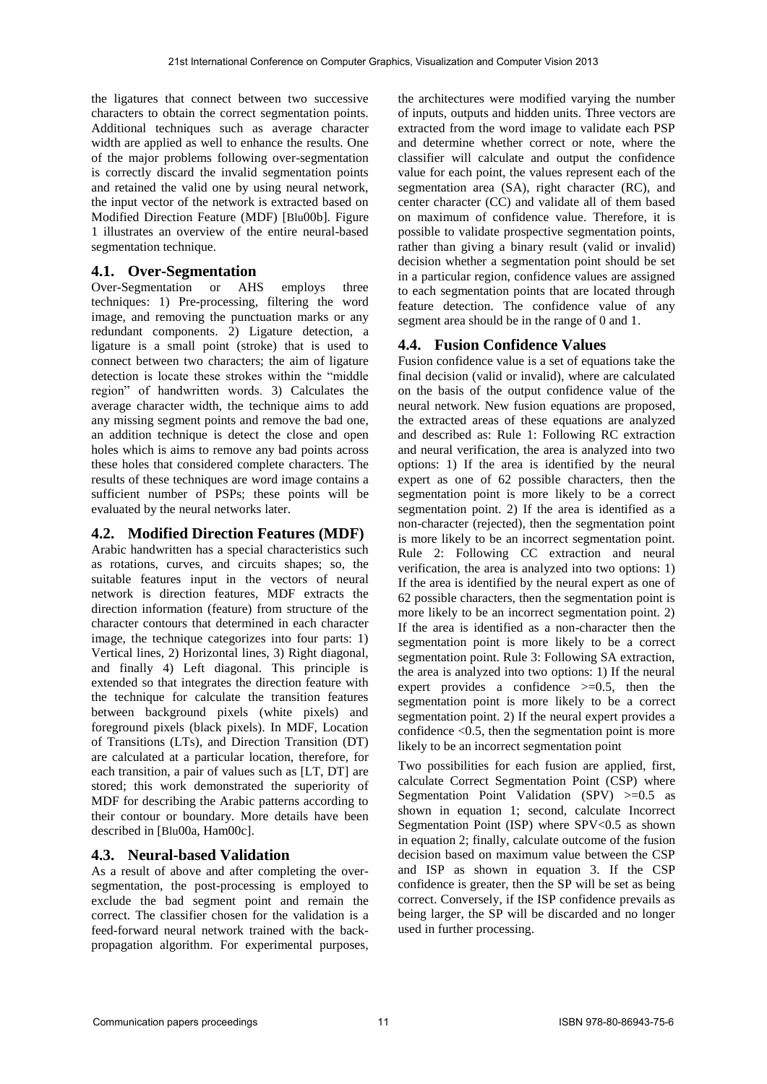the ligatures that connect between two successive characters to obtain the correct segmentation points. Additional techniques such as average character width are applied as well to enhance the results. One of the major problems following over-segmentation is correctly discard the invalid segmentation points and retained the valid one by using neural network, the input vector of the network is extracted based on Modified Direction Feature (MDF) [Blu00b]. Figure 1 illustrates an overview of the entire neural-based segmentation technique.

### **4.1. Over-Segmentation**

Over-Segmentation or AHS employs three techniques: 1) Pre-processing, filtering the word image, and removing the punctuation marks or any redundant components. 2) Ligature detection, a ligature is a small point (stroke) that is used to connect between two characters; the aim of ligature detection is locate these strokes within the "middle region" of handwritten words. 3) Calculates the average character width, the technique aims to add any missing segment points and remove the bad one, an addition technique is detect the close and open holes which is aims to remove any bad points across these holes that considered complete characters. The results of these techniques are word image contains a sufficient number of PSPs; these points will be evaluated by the neural networks later.

## **4.2. Modified Direction Features (MDF)**

Arabic handwritten has a special characteristics such as rotations, curves, and circuits shapes; so, the suitable features input in the vectors of neural network is direction features, MDF extracts the direction information (feature) from structure of the character contours that determined in each character image, the technique categorizes into four parts: 1) Vertical lines, 2) Horizontal lines, 3) Right diagonal, and finally 4) Left diagonal. This principle is extended so that integrates the direction feature with the technique for calculate the transition features between background pixels (white pixels) and foreground pixels (black pixels). In MDF, Location of Transitions (LTs), and Direction Transition (DT) are calculated at a particular location, therefore, for each transition, a pair of values such as [LT, DT] are stored; this work demonstrated the superiority of MDF for describing the Arabic patterns according to their contour or boundary. More details have been described in [Blu00a, Ham00c].

### **4.3. Neural-based Validation**

As a result of above and after completing the oversegmentation, the post-processing is employed to exclude the bad segment point and remain the correct. The classifier chosen for the validation is a feed-forward neural network trained with the backpropagation algorithm. For experimental purposes,

the architectures were modified varying the number of inputs, outputs and hidden units. Three vectors are extracted from the word image to validate each PSP and determine whether correct or note, where the classifier will calculate and output the confidence value for each point, the values represent each of the segmentation area (SA), right character (RC), and center character (CC) and validate all of them based on maximum of confidence value. Therefore, it is possible to validate prospective segmentation points, rather than giving a binary result (valid or invalid) decision whether a segmentation point should be set in a particular region, confidence values are assigned to each segmentation points that are located through feature detection. The confidence value of any segment area should be in the range of 0 and 1.

## **4.4. Fusion Confidence Values**

Fusion confidence value is a set of equations take the final decision (valid or invalid), where are calculated on the basis of the output confidence value of the neural network. New fusion equations are proposed, the extracted areas of these equations are analyzed and described as: Rule 1: Following RC extraction and neural verification, the area is analyzed into two options: 1) If the area is identified by the neural expert as one of 62 possible characters, then the segmentation point is more likely to be a correct segmentation point. 2) If the area is identified as a non-character (rejected), then the segmentation point is more likely to be an incorrect segmentation point. Rule 2: Following CC extraction and neural verification, the area is analyzed into two options: 1) If the area is identified by the neural expert as one of 62 possible characters, then the segmentation point is more likely to be an incorrect segmentation point. 2) If the area is identified as a non-character then the segmentation point is more likely to be a correct segmentation point. Rule 3: Following SA extraction, the area is analyzed into two options: 1) If the neural expert provides a confidence  $\geq 0.5$ , then the segmentation point is more likely to be a correct segmentation point. 2) If the neural expert provides a confidence  $< 0.5$ , then the segmentation point is more likely to be an incorrect segmentation point

Two possibilities for each fusion are applied, first, calculate Correct Segmentation Point (CSP) where Segmentation Point Validation  $(SPV)$   $>=0.5$  as shown in equation 1; second, calculate Incorrect Segmentation Point (ISP) where SPV<0.5 as shown in equation 2; finally, calculate outcome of the fusion decision based on maximum value between the CSP and ISP as shown in equation 3. If the CSP confidence is greater, then the SP will be set as being correct. Conversely, if the ISP confidence prevails as being larger, the SP will be discarded and no longer used in further processing.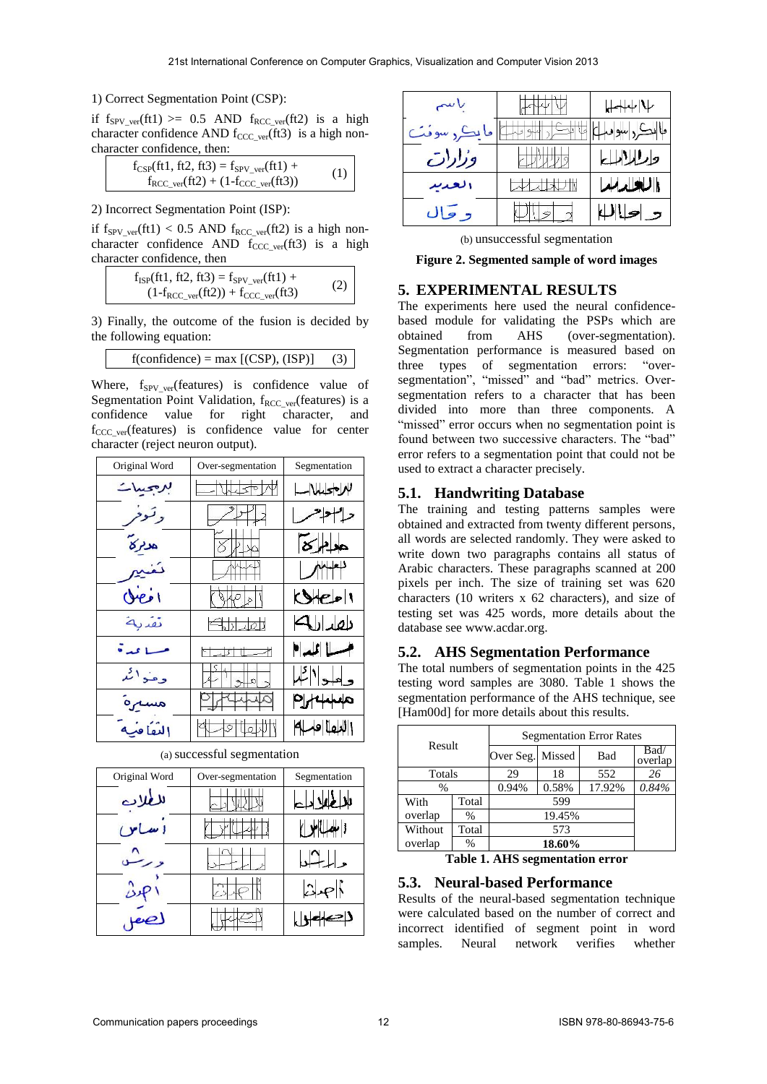#### 1) Correct Segmentation Point (CSP):

if  $f_{SPV\text{ ver}}(ft1) \ge 0.5$  AND  $f_{RCC\text{ ver}}(ft2)$  is a high character confidence AND  $f_{CCC\ ver}(ft3)$  is a high noncharacter confidence, then:

| $f_{CSP}(ft1, ft2, ft3) = f_{SPV,ver}(ft1) +$                             |     |
|---------------------------------------------------------------------------|-----|
| $f_{\text{RCC\_ver}}(\text{ft2}) + (1 - f_{\text{CCC\_ver}}(\text{ft3}))$ | (1) |

2) Incorrect Segmentation Point (ISP):

if  $f_{SPV\_ver}(ft1) < 0.5$  AND  $f_{RCC\_ver}(ft2)$  is a high noncharacter confidence AND  $f_{CCC\_ver}(ft3)$  is a high character confidence, then

$$
f_{ISP}(ft1, ft2, ft3) = f_{SPV\_ver}(ft1) +
$$
  
(1-f\_{RCC\\_ver}(ft2)) + f\_{CCC\\_ver}(ft3) (2)

3) Finally, the outcome of the fusion is decided by the following equation:

 $f(confidence) = max [(CSP), (ISP)]$  (3)

Where,  $f_{SPV\text{ ver}}(features)$  is confidence value of Segmentation Point Validation,  $f_{RCC\text{ver}}(features)$  is a confidence value for right character, and  $f_{\text{CCC}}$  ver(features) is confidence value for center character (reject neuron output).

| Original Word | Over-segmentation        | Segmentation     |
|---------------|--------------------------|------------------|
| برجيبات       |                          | $\Box$ Wso $\mu$ |
| وتوحر         | 2512                     | حراسوهمرا        |
| هدمركا        |                          | 812              |
| تغنيه         |                          | $\sqrt{ }$       |
| $O(\epsilon)$ | $\sqrt{ \mathcal{S} }$ ا | Sepv             |
| تقدية         | $-5110$                  | طهدارات          |
| مساعدة        |                          | مساالما          |
| وعنواكم       |                          | وهوالكما         |
| مسترة         | के                       | PH4440           |
| اللُّفَاقِيَة | ੨                        | اللقا فهله       |

| Original Word | Over-segmentation | Segmentation              |
|---------------|-------------------|---------------------------|
| للطلاب        |                   |                           |
| اساس          |                   | <b>YUW</b>                |
| ور            |                   | حاسلہ ،                   |
|               |                   | $\mathbb{Z}$ $\mathbb{R}$ |
|               |                   |                           |

(a) successful segmentation

| باسم       | $+ + + + +$ |
|------------|-------------|
| مايڪر سوفٽ | ماانڪرراسوا |
| وزارات     | وارادالياع  |
| العدند     | الكلداب     |
| د حال      |             |

(b) unsuccessful segmentation

**Figure 2. Segmented sample of word images**

# **5. EXPERIMENTAL RESULTS**

The experiments here used the neural confidencebased module for validating the PSPs which are obtained from AHS (over-segmentation). Segmentation performance is measured based on three types of segmentation errors: "oversegmentation", "missed" and "bad" metrics. Oversegmentation refers to a character that has been divided into more than three components. A "missed" error occurs when no segmentation point is found between two successive characters. The "bad" error refers to a segmentation point that could not be used to extract a character precisely.

## **5.1. Handwriting Database**

The training and testing patterns samples were obtained and extracted from twenty different persons, all words are selected randomly. They were asked to write down two paragraphs contains all status of Arabic characters. These paragraphs scanned at 200 pixels per inch. The size of training set was 620 characters (10 writers x 62 characters), and size of testing set was 425 words, more details about the database see www.acdar.org.

## **5.2. AHS Segmentation Performance**

The total numbers of segmentation points in the 425 testing word samples are 3080. Table 1 shows the segmentation performance of the AHS technique, see [Ham00d] for more details about this results.

|         |               | <b>Segmentation Error Rates</b> |                 |                |       |
|---------|---------------|---------------------------------|-----------------|----------------|-------|
| Result  |               | Over Seg. Missed<br>Bad         |                 | Bad<br>overlap |       |
| Totals  |               |                                 | 552<br>29<br>18 |                |       |
| %       |               | 0.94%                           | 0.58%           | 17.92%         | 0.84% |
| With    | Total         | 599                             |                 |                |       |
| overlap | $\frac{0}{0}$ | 19.45%                          |                 |                |       |
| Without | Total         | 573                             |                 |                |       |
| overlap | %             | 18.60%                          |                 |                |       |

**Table 1. AHS segmentation error**

#### **5.3. Neural-based Performance**

Results of the neural-based segmentation technique were calculated based on the number of correct and incorrect identified of segment point in word samples. Neural network verifies whether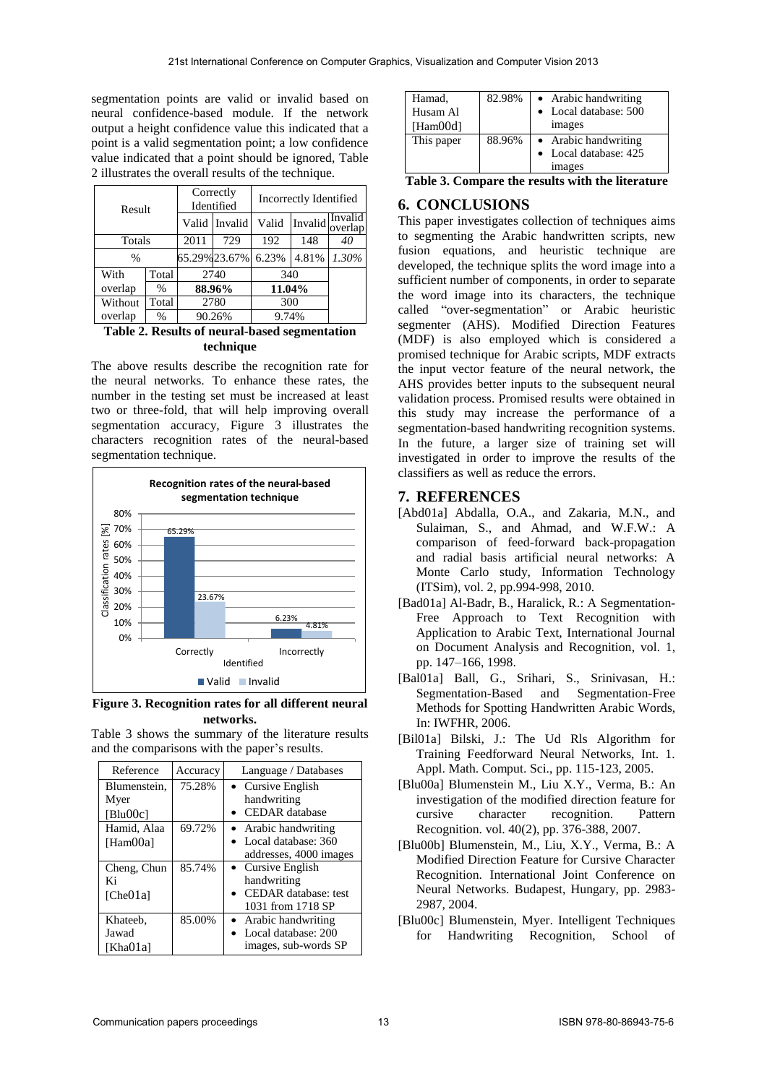segmentation points are valid or invalid based on neural confidence-based module. If the network output a height confidence value this indicated that a point is a valid segmentation point; a low confidence value indicated that a point should be ignored, Table 2 illustrates the overall results of the technique.

| Result        |               | Correctly<br>Identified |               | Incorrectly Identified |                 |         |  |
|---------------|---------------|-------------------------|---------------|------------------------|-----------------|---------|--|
|               |               |                         | Valid Invalid | Valid                  | Invalid overlap | Invalid |  |
| Totals        |               | 2011<br>729             |               | 192                    | 148             | 40      |  |
| $\frac{0}{0}$ |               |                         | 65.29%23.67%  | 6.23%                  | 4.81%           | 1.30%   |  |
| With          | Total         | 2740                    |               | 340                    |                 |         |  |
| overlap       | $\frac{0}{0}$ | 88.96%                  |               | 11.04%                 |                 |         |  |
| Without       | Total         | 2780                    |               | 300                    |                 |         |  |
| overlap       | %             | 90.26%                  |               | 9.74%                  |                 |         |  |

**Table 2. Results of neural-based segmentation technique** 

The above results describe the recognition rate for the neural networks. To enhance these rates, the number in the testing set must be increased at least two or three-fold, that will help improving overall segmentation accuracy, Figure 3 illustrates the characters recognition rates of the neural-based segmentation technique.



**Figure 3. Recognition rates for all different neural networks.**

Table 3 shows the summary of the literature results and the comparisons with the paper's results.

| Reference    | Accuracy | Language / Databases        |
|--------------|----------|-----------------------------|
| Blumenstein. | 75.28%   | • Cursive English           |
| Myer         |          | handwriting                 |
| [Blu00c]     |          | <b>CEDAR</b> database       |
| Hamid, Alaa  | 69.72%   | Arabic handwriting          |
| [Ham00a]     |          | Local database: 360         |
|              |          | addresses, 4000 images      |
| Cheng, Chun  | 85.74%   | • Cursive English           |
| Ki           |          | handwriting                 |
| [Che01a]     |          | <b>CEDAR</b> database: test |
|              |          | 1031 from 1718 SP           |
| Khateeb.     | 85.00%   | • Arabic handwriting        |
| Jawad        |          | Local database: 200         |
| [Kha01a]     |          | images, sub-words SP        |

| Hamad,<br>Husam Al<br>[Ham00d] | 82.98% | • Arabic handwriting<br>• Local database: 500<br><i>images</i> |
|--------------------------------|--------|----------------------------------------------------------------|
| This paper                     | 88.96% | • Arabic handwriting<br>• Local database: 425<br><i>images</i> |

**Table 3. Compare the results with the literature**

# **6. CONCLUSIONS**

This paper investigates collection of techniques aims to segmenting the Arabic handwritten scripts, new fusion equations, and heuristic technique are developed, the technique splits the word image into a sufficient number of components, in order to separate the word image into its characters, the technique called "over-segmentation" or Arabic heuristic segmenter (AHS). Modified Direction Features (MDF) is also employed which is considered a promised technique for Arabic scripts, MDF extracts the input vector feature of the neural network, the AHS provides better inputs to the subsequent neural validation process. Promised results were obtained in this study may increase the performance of a segmentation-based handwriting recognition systems. In the future, a larger size of training set will investigated in order to improve the results of the classifiers as well as reduce the errors.

# **7. REFERENCES**

- [Abd01a] Abdalla, O.A., and Zakaria, M.N., and Sulaiman, S., and Ahmad, and W.F.W.: A comparison of feed-forward back-propagation and radial basis artificial neural networks: A Monte Carlo study, Information Technology (ITSim), vol. 2, pp.994-998, 2010.
- [Bad01a] Al-Badr, B., Haralick, R.: A Segmentation-Free Approach to Text Recognition with Application to Arabic Text, International Journal on Document Analysis and Recognition, vol. 1, pp. 147–166, 1998.
- [Bal01a] Ball, G., Srihari, S., Srinivasan, H.: Segmentation-Based and Segmentation-Free Methods for Spotting Handwritten Arabic Words, In: IWFHR, 2006.
- [Bil01a] Bilski, J.: The Ud Rls Algorithm for Training Feedforward Neural Networks, Int. 1. Appl. Math. Comput. Sci., pp. 115-123, 2005.
- [Blu00a] Blumenstein M., Liu X.Y., Verma, B.: An investigation of the modified direction feature for<br>cursive character recognition. Pattern cursive character recognition. Pattern Recognition. vol. 40(2), pp. 376-388, 2007.
- [Blu00b] Blumenstein, M., Liu, X.Y., Verma, B.: A Modified Direction Feature for Cursive Character Recognition. International Joint Conference on Neural Networks. Budapest, Hungary, pp. 2983- 2987, 2004.
- [Blu00c] Blumenstein, Myer. Intelligent Techniques for Handwriting Recognition, School of